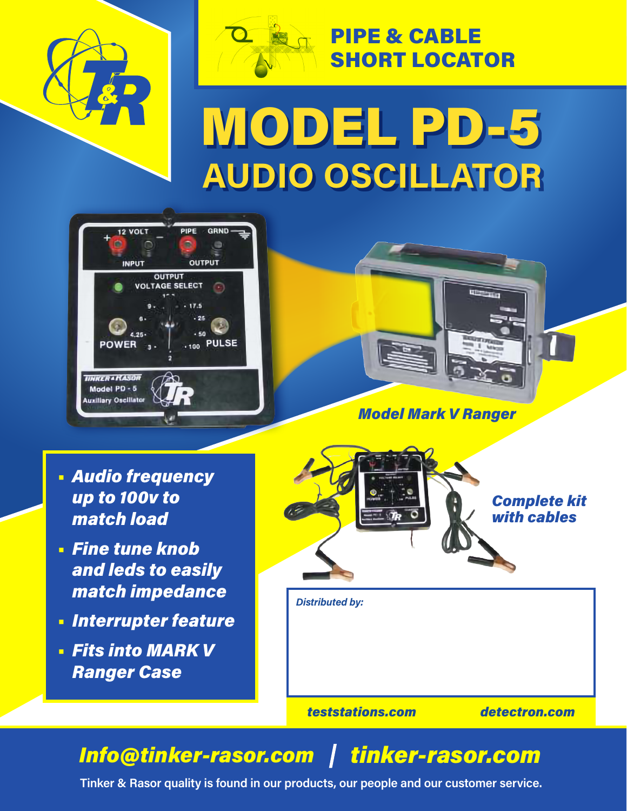



# PIPE & CABLE SHORT LOCATOR

# MODEL PD-5 **AUDIO OSCILLATOR**





*Model Mark V Ranger*

- **•** *Audio frequency up to 100v to match load*
- **•** *Fine tune knob and leds to easily match impedance*
- **•** *Interrupter feature*
- **•** *Fits into MARK V Ranger Case*



*teststations.com detectron.com*

# *Info@tinker-rasor.com tinker-rasor.com*

**Tinker & Rasor quality is found in our products, our people and our customer service.**